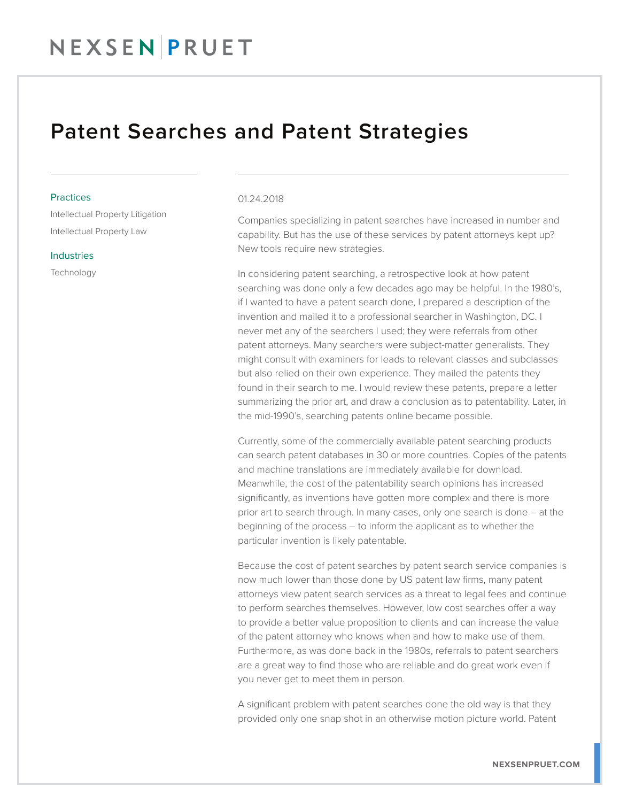### NEXSENPRUET

### Patent Searches and Patent Strategies

#### **Practices**

Intellectual Property Litigation Intellectual Property Law

#### Industries

**Technology** 

#### 01.24.2018

Companies specializing in patent searches have increased in number and capability. But has the use of these services by patent attorneys kept up? New tools require new strategies.

In considering patent searching, a retrospective look at how patent searching was done only a few decades ago may be helpful. In the 1980's, if I wanted to have a patent search done, I prepared a description of the invention and mailed it to a professional searcher in Washington, DC. I never met any of the searchers I used; they were referrals from other patent attorneys. Many searchers were subject-matter generalists. They might consult with examiners for leads to relevant classes and subclasses but also relied on their own experience. They mailed the patents they found in their search to me. I would review these patents, prepare a letter summarizing the prior art, and draw a conclusion as to patentability. Later, in the mid-1990's, searching patents online became possible.

Currently, some of the commercially available patent searching products can search patent databases in 30 or more countries. Copies of the patents and machine translations are immediately available for download. Meanwhile, the cost of the patentability search opinions has increased significantly, as inventions have gotten more complex and there is more prior art to search through. In many cases, only one search is done – at the beginning of the process – to inform the applicant as to whether the particular invention is likely patentable.

Because the cost of patent searches by patent search service companies is now much lower than those done by US patent law firms, many patent attorneys view patent search services as a threat to legal fees and continue to perform searches themselves. However, low cost searches offer a way to provide a better value proposition to clients and can increase the value of the patent attorney who knows when and how to make use of them. Furthermore, as was done back in the 1980s, referrals to patent searchers are a great way to find those who are reliable and do great work even if you never get to meet them in person.

A significant problem with patent searches done the old way is that they provided only one snap shot in an otherwise motion picture world. Patent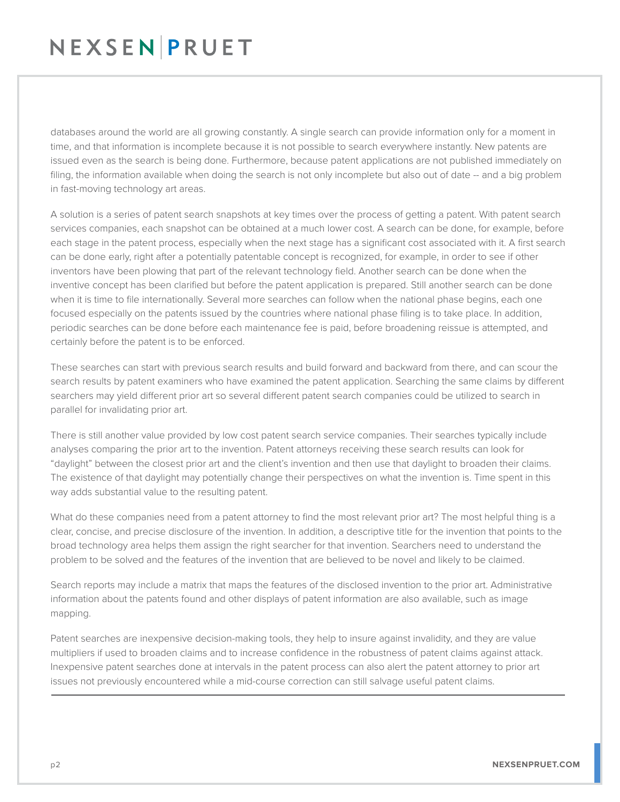## NEXSENPRUET

databases around the world are all growing constantly. A single search can provide information only for a moment in time, and that information is incomplete because it is not possible to search everywhere instantly. New patents are issued even as the search is being done. Furthermore, because patent applications are not published immediately on filing, the information available when doing the search is not only incomplete but also out of date -- and a big problem in fast-moving technology art areas.

A solution is a series of patent search snapshots at key times over the process of getting a patent. With patent search services companies, each snapshot can be obtained at a much lower cost. A search can be done, for example, before each stage in the patent process, especially when the next stage has a significant cost associated with it. A first search can be done early, right after a potentially patentable concept is recognized, for example, in order to see if other inventors have been plowing that part of the relevant technology field. Another search can be done when the inventive concept has been clarified but before the patent application is prepared. Still another search can be done when it is time to file internationally. Several more searches can follow when the national phase begins, each one focused especially on the patents issued by the countries where national phase filing is to take place. In addition, periodic searches can be done before each maintenance fee is paid, before broadening reissue is attempted, and certainly before the patent is to be enforced.

These searches can start with previous search results and build forward and backward from there, and can scour the search results by patent examiners who have examined the patent application. Searching the same claims by different searchers may yield different prior art so several different patent search companies could be utilized to search in parallel for invalidating prior art.

There is still another value provided by low cost patent search service companies. Their searches typically include analyses comparing the prior art to the invention. Patent attorneys receiving these search results can look for "daylight" between the closest prior art and the client's invention and then use that daylight to broaden their claims. The existence of that daylight may potentially change their perspectives on what the invention is. Time spent in this way adds substantial value to the resulting patent.

What do these companies need from a patent attorney to find the most relevant prior art? The most helpful thing is a clear, concise, and precise disclosure of the invention. In addition, a descriptive title for the invention that points to the broad technology area helps them assign the right searcher for that invention. Searchers need to understand the problem to be solved and the features of the invention that are believed to be novel and likely to be claimed.

Search reports may include a matrix that maps the features of the disclosed invention to the prior art. Administrative information about the patents found and other displays of patent information are also available, such as image mapping.

Patent searches are inexpensive decision-making tools, they help to insure against invalidity, and they are value multipliers if used to broaden claims and to increase confidence in the robustness of patent claims against attack. Inexpensive patent searches done at intervals in the patent process can also alert the patent attorney to prior art issues not previously encountered while a mid-course correction can still salvage useful patent claims.  $\overline{a}$